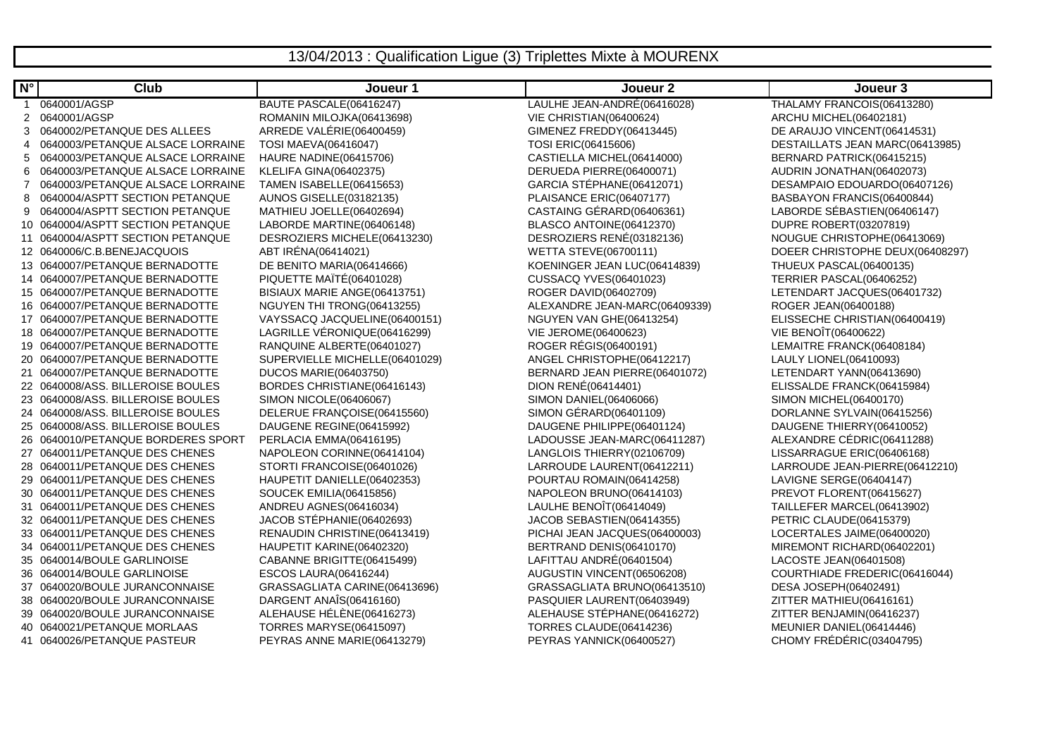## 13/04/2013 : Qualification Ligue (3) Triplettes Mixte à MOURENX

| $N^{\circ}$ | Club                               | Joueur 1                       | Joueur <sub>2</sub>           | Joueur 3                        |
|-------------|------------------------------------|--------------------------------|-------------------------------|---------------------------------|
| 1.          | 0640001/AGSP                       | BAUTE PASCALE(06416247)        | LAULHE JEAN-ANDRÉ(06416028)   | THALAMY FRANCOIS(06413280)      |
| 2           | 0640001/AGSP                       | ROMANIN MILOJKA(06413698)      | VIE CHRISTIAN(06400624)       | ARCHU MICHEL(06402181)          |
| 3           | 0640002/PETANQUE DES ALLEES        | ARREDE VALÉRIE(06400459)       | GIMENEZ FREDDY(06413445)      | DE ARAUJO VINCENT(06414531)     |
| 4           | 0640003/PETANQUE ALSACE LORRAINE   | <b>TOSI MAEVA(06416047)</b>    | TOSI ERIC(06415606)           | DESTAILLATS JEAN MARC(06413985) |
| 5           | 0640003/PETANQUE ALSACE LORRAINE   | HAURE NADINE(06415706)         | CASTIELLA MICHEL(06414000)    | BERNARD PATRICK(06415215)       |
| 6           | 0640003/PETANQUE ALSACE LORRAINE   | <b>KLELIFA GINA(06402375)</b>  | DERUEDA PIERRE(06400071)      | AUDRIN JONATHAN(06402073)       |
| 7           | 0640003/PETANQUE ALSACE LORRAINE   | TAMEN ISABELLE(06415653)       | GARCIA STÉPHANE(06412071)     | DESAMPAIO EDOUARDO(06407126)    |
| 8           | 0640004/ASPTT SECTION PETANQUE     | <b>AUNOS GISELLE(03182135)</b> | PLAISANCE ERIC(06407177)      | BASBAYON FRANCIS(06400844)      |
| 9           | 0640004/ASPTT SECTION PETANQUE     | MATHIEU JOELLE(06402694)       | CASTAING GÉRARD(06406361)     | LABORDE SÉBASTIEN(06406147)     |
|             | 10 0640004/ASPTT SECTION PETANQUE  | LABORDE MARTINE(06406148)      | BLASCO ANTOINE(06412370)      | DUPRE ROBERT(03207819)          |
|             | 11 0640004/ASPTT SECTION PETANQUE  | DESROZIERS MICHELE(06413230)   | DESROZIERS RENÉ(03182136)     | NOUGUE CHRISTOPHE(06413069)     |
|             | 12 0640006/C.B.BENEJACQUOIS        | ABT IRÉNA(06414021)            | WETTA STEVE(06700111)         | DOEER CHRISTOPHE DEUX(06408297) |
|             | 13 0640007/PETANQUE BERNADOTTE     | DE BENITO MARIA(06414666)      | KOENINGER JEAN LUC(06414839)  | THUEUX PASCAL(06400135)         |
|             | 14 0640007/PETANQUE BERNADOTTE     | PIQUETTE MAÏTÉ(06401028)       | <b>CUSSACQ YVES(06401023)</b> | TERRIER PASCAL(06406252)        |
|             | 15 0640007/PETANQUE BERNADOTTE     | BISIAUX MARIE ANGE(06413751)   | ROGER DAVID(06402709)         | LETENDART JACQUES(06401732)     |
|             | 16 0640007/PETANQUE BERNADOTTE     | NGUYEN THI TRONG(06413255)     | ALEXANDRE JEAN-MARC(06409339) | ROGER JEAN(06400188)            |
|             | 17 0640007/PETANQUE BERNADOTTE     | VAYSSACQ JACQUELINE(06400151)  | NGUYEN VAN GHE(06413254)      | ELISSECHE CHRISTIAN(06400419)   |
|             | 18 0640007/PETANQUE BERNADOTTE     | LAGRILLE VÉRONIQUE(06416299)   | VIE JEROME(06400623)          | VIE BENOÎT(06400622)            |
|             | 19 0640007/PETANQUE BERNADOTTE     | RANQUINE ALBERTE(06401027)     | ROGER RÉGIS(06400191)         | LEMAITRE FRANCK(06408184)       |
|             | 20 0640007/PETANQUE BERNADOTTE     | SUPERVIELLE MICHELLE(06401029) | ANGEL CHRISTOPHE(06412217)    | LAULY LIONEL(06410093)          |
|             | 21 0640007/PETANQUE BERNADOTTE     | <b>DUCOS MARIE(06403750)</b>   | BERNARD JEAN PIERRE(06401072) | LETENDART YANN(06413690)        |
|             | 22 0640008/ASS, BILLEROISE BOULES  | BORDES CHRISTIANE(06416143)    | DION RENÉ(06414401)           | ELISSALDE FRANCK(06415984)      |
|             | 23 0640008/ASS. BILLEROISE BOULES  | SIMON NICOLE(06406067)         | SIMON DANIEL(06406066)        | SIMON MICHEL(06400170)          |
|             | 24 0640008/ASS. BILLEROISE BOULES  | DELERUE FRANÇOISE(06415560)    | SIMON GÉRARD(06401109)        | DORLANNE SYLVAIN(06415256)      |
|             | 25 0640008/ASS, BILLEROISE BOULES  | DAUGENE REGINE(06415992)       | DAUGENE PHILIPPE(06401124)    | DAUGENE THIERRY(06410052)       |
|             | 26 0640010/PETANQUE BORDERES SPORT | PERLACIA EMMA(06416195)        | LADOUSSE JEAN-MARC(06411287)  | ALEXANDRE CÉDRIC(06411288)      |
|             | 27 0640011/PETANQUE DES CHENES     | NAPOLEON CORINNE(06414104)     | LANGLOIS THIERRY(02106709)    | LISSARRAGUE ERIC(06406168)      |
|             | 28 0640011/PETANQUE DES CHENES     | STORTI FRANCOISE(06401026)     | LARROUDE LAURENT(06412211)    | LARROUDE JEAN-PIERRE(06412210)  |
|             | 29 0640011/PETANQUE DES CHENES     | HAUPETIT DANIELLE(06402353)    | POURTAU ROMAIN(06414258)      | LAVIGNE SERGE(06404147)         |
|             | 30 0640011/PETANQUE DES CHENES     | SOUCEK EMILIA(06415856)        | NAPOLEON BRUNO(06414103)      | PREVOT FLORENT(06415627)        |
|             | 31 0640011/PETANQUE DES CHENES     | ANDREU AGNES(06416034)         | LAULHE BENOÎT(06414049)       | TAILLEFER MARCEL(06413902)      |
|             | 32 0640011/PETANQUE DES CHENES     | JACOB STÉPHANIE(06402693)      | JACOB SEBASTIEN(06414355)     | PETRIC CLAUDE(06415379)         |
|             | 33 0640011/PETANQUE DES CHENES     | RENAUDIN CHRISTINE(06413419)   | PICHAI JEAN JACQUES(06400003) | LOCERTALES JAIME(06400020)      |
|             | 34 0640011/PETANQUE DES CHENES     | HAUPETIT KARINE(06402320)      | BERTRAND DENIS(06410170)      | MIREMONT RICHARD(06402201)      |
|             | 35 0640014/BOULE GARLINOISE        | CABANNE BRIGITTE(06415499)     | LAFITTAU ANDRÉ(06401504)      | LACOSTE JEAN(06401508)          |
|             | 36 0640014/BOULE GARLINOISE        | <b>ESCOS LAURA(06416244)</b>   | AUGUSTIN VINCENT(06506208)    | COURTHIADE FREDERIC(06416044)   |
|             | 37 0640020/BOULE JURANCONNAISE     | GRASSAGLIATA CARINE(06413696)  | GRASSAGLIATA BRUNO(06413510)  | DESA JOSEPH(06402491)           |
|             | 38 0640020/BOULE JURANCONNAISE     | DARGENT ANAÎS(06416160)        | PASQUIER LAURENT(06403949)    | ZITTER MATHIEU(06416161)        |
|             | 39 0640020/BOULE JURANCONNAISE     | ALEHAUSE HÉLÈNE(06416273)      | ALEHAUSE STÉPHANE(06416272)   | ZITTER BENJAMIN(06416237)       |
|             | 40 0640021/PETANQUE MORLAAS        | <b>TORRES MARYSE(06415097)</b> | TORRES CLAUDE(06414236)       | MEUNIER DANIEL(06414446)        |
|             | 41 0640026/PETANQUE PASTEUR        | PEYRAS ANNE MARIE(06413279)    | PEYRAS YANNICK(06400527)      | CHOMY FRÉDÉRIC(03404795)        |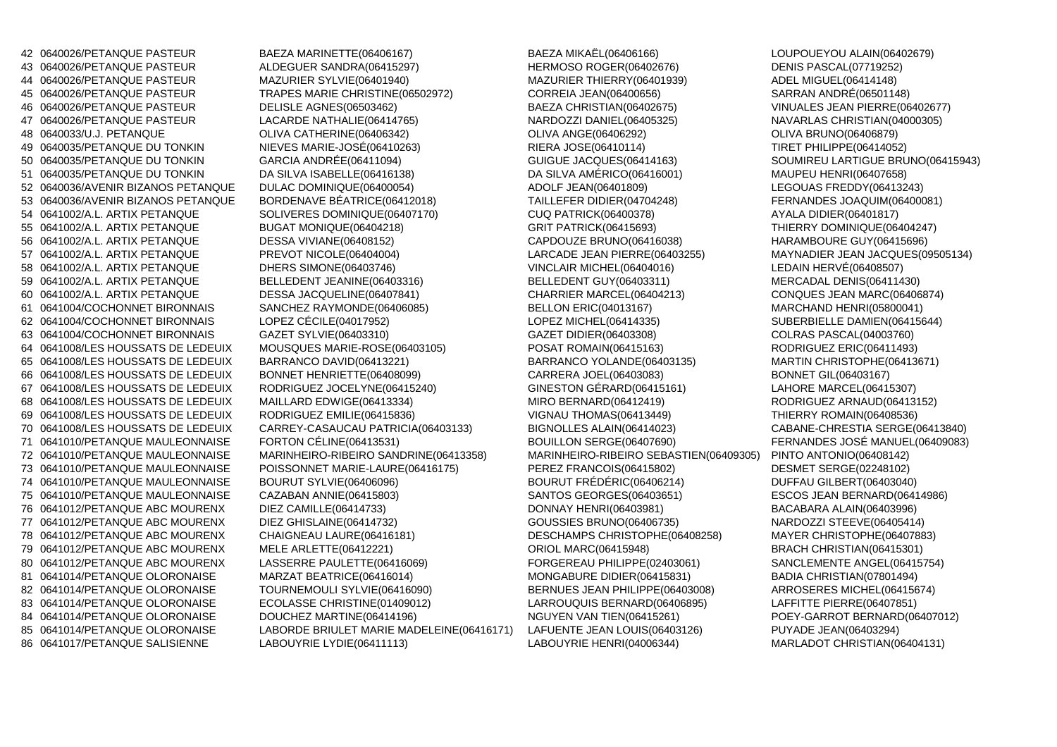<sup>42</sup> 0640026/PETANQUE PASTEUR BAEZA MARINETTE(06406167)43 0640026/PETANQUE PASTEUR ALDEGUER SANDRA(06415297)44 0640026/PETANQUE PASTEUR MAZURIER SYLVIE(06401940)<br>45 0640026/PETANQUE PASTEUR TRAPES MARIE CHRISTINE(06 <sup>47</sup> 0640026/PETANQUE PASTEUR LACARDE NATHALIE(06414765) NARDOZZI DANIEL(06405325) NAVARLAS CHRISTIAN(04000305)49 0640035/PETANQUE DU TONKIN NIEVES MARIE-JOSÉ(06410263)<br>50 0640035/PETANQUE DU TONKIN GARCIA ANDRÉE(06411094) 50 0640035/PETANQUE DU TONKIN <sup>51</sup> 0640035/PETANQUE DU TONKIN DA SILVA ISABELLE(06416138) DA SILVA AMÉRICO(06416001) MAUPEU HENRI(06407658)52 0640036/AVENIR BIZANOS PETANQUE DULAC DOMINIQUE(06400054) ADOLF JEAN(06401809) LEGOUAS FREDDY(06413243)53 0640036/AVENIR BIZANOS PETANOUE 54 0641002/A.L. ARTIX PETANQUE SOLIVERES DOMINIQUE(06407170) CUQ PATRICK(06400378) AYALA DIDIER(06401817)56 0641002/A.L. ARTIX PETANQUE DESSA VIVIANE(06408152) CAPDOUZE BRUNO(06416038) HARAMBOURE GUY(06415696)58 0641002/A.L. ARTIX PETANQUE DHERS SIMONE(06403746)59 0641002/A.L. ARTIX PETANQUE BELLEDENT JEANINE(06403316<br>60 0641002/A.L. ARTIX PETANQUE DESSA JACQUELINE(06407841) 61 0641004/COCHONNET BIRONNAIS SANCHEZ RAYMONDE(06406085) BELLON ERIC(04013167) MARCHAND HENRI(05800041)<sup>62</sup> 0641004/COCHONNET BIRONNAIS LOPEZ CÉCILE(04017952)63 0641004/COCHONNET BIRONNAIS GAZET SYLVIE(06403310)64 0641008/LES HOUSSATS DE LEDEUIX MOUSQUES MARIE-ROSE(06403105) POSAT ROMAIN(06415163) 65 0641008/LES HOUSSATS DE LEDEUIX BARRANCO DAVID(06413221) BARRANCO YOLANDE(06403135) 66 0641008/LES HOUSSATS DE LEDEUIX BONNET HENRIETTE(06408099) CARRERA JOEL(06403083) BONNET GIL(06403167)67 0641008/LES HOUSSATS DE LEDEUIX RODRIGUEZ JOCELYNE(06415240) 68 0641008/LES HOUSSATS DE LEDEUIX MAILLARD EDWIGE(06413334) MIRO BERNARD(06412419) 69 0641008/LES HOUSSATS DE LEDEUIX RODRIGUEZ EMILIE(06415836) VIGNAU THOMAS(06413449) THIERRY ROMAIN(06408536)70 0641008/LES HOUSSATS DE LEDEUIX CARREY-CASAUCAU PATRICIA(06403133) BIGNOLLES ALAIN(06414023) <sup>71</sup> 0641010/PETANQUE MAULEONNAISE FORTON CÉLINE(06413531) BOUILLON SERGE(06407690) FERNANDES JOSÉ MANUEL(06409083)<sup>72</sup> 0641010/PETANQUE MAULEONNAISE MARINHEIRO-RIBEIRO SANDRINE(06413358) MARINHEIRO-RIBEIRO SEBASTIEN(06409305) PINTO ANTONIO(06408142)73 0641010/PETANQUE MAULEONNAISE POISSONNET MARIE-LAURE(06416175) PEREZ FRANCOIS(06415802)<br>74 0641010/PETANQUE MAULEONNAISE BOURUT SYLVIE(06406096) BOURUT FRÉDÉRIC(06406214) 74 0641010/PETANQUE MAULEONNAISE BOURUT SYLVIE(06406096) <sup>75</sup> 0641010/PETANQUE MAULEONNAISE CAZABAN ANNIE(06415803) SANTOS GEORGES(06403651) ESCOS JEAN BERNARD(06414986)76 0641012/PETANQUE ABC MOURENX 77 0641012/PETANQUE ABC MOURENX DIEZ GHISLAINE(06414732) GOUSSIES BRUNO(06406735) 78 0641012/PETANQUE ABC MOURENX CHAIGNEAU LAURE(06416181) DESCHAMPS CHRISTOPHE(06408258) 79 0641012/PETANQUE ABC MOURENX MELE ARLETTE(06412221) ORIOL MARC(06415948) BRACH CHRISTIAN(06415301)81 0641014/PETANQUE OLORONAISE MARZAT BEATRICE(06416014) MONGABURE DIDIER(06415831) BADIA CHRISTIAN(07801494)82 0641014/PETANQUE OLORONAISE TOURNEMOULI SYLVIE(06416090) BERNUES JEAN PHILIPPE(06403008) 83 0641014/PETANQUE OLORONAISE ECOLASSE CHRISTINE(01409012) LARROUQUIS BERNARD(06406895) LAFFITTE PIERRE(06407851)84 0641014/PETANQUE OLORONAISE DOUCHEZ MARTINE(06414196) NGUYEN VAN TIEN(06415261)<br>85 0641014/PETANQUE OLORONAISE LABORDE BRIULET MARIE MADELEINE(06416171) LAFUENTE JEAN LOUIS(06403126) 85 0641014/PETANQUE OLORONAISE LABORDE BRIULET MARIE MADELEINE(06416171) LAFUENTE JEAN LOUIS(06403126) PUYADE JEAN(06403294)86 0641017/PETANQUE SALISIENNE LABOUYRIE LYDIE(06411113) LABOUYRIE HENRI(04006344) MARLADOT CHRISTIAN(06404131)

TRAPES MARIE CHRISTINE(06502972) 46 0640026/PETANQUE PASTEUR DELISLE AGNES(06503462) BAEZA CHRISTIAN(06402675) VINUALES JEAN PIERRE(06402677)48 0640033/U.J. PETANQUE OLIVA CATHERINE(06406342) OLIVA ANGE(06406292) OLIVA BRUNO(06406879) <sup>55</sup> 0641002/A.L. ARTIX PETANQUE BUGAT MONIQUE(06404218) GRIT PATRICK(06415693) THIERRY DOMINIQUE(06404247) <sup>57</sup> 0641002/A.L. ARTIX PETANQUE PREVOT NICOLE(06404004) LARCADE JEAN PIERRE(06403255) MAYNADIER JEAN JACQUES(09505134)DHERS SIMONE(06403746) VINCLAIR MICHEL(06404016) LEDAIN HERVÉ(06408507)<br>BELLEDENT JEANINE(06403316) BELLEDENT GUY(06403311) MERCADAL DENIS(06411430) 60 0641002/A.L. ARTIX PETANQUE DESSA JACQUELINE(06407841) CHARRIER MARCEL(06404213) CONQUES JEAN MARC(06406874)LASSERRE PAULETTE(06416069)

BAEZA MIKAËL(06406166) LOUPOUEYOU ALAIN(06402679)<br>HERMOSO ROGER(06402676) LOENIS PASCAL(07719252) HERMOSO ROGER(06402676) DENIS PASCAL(07719252<br>MAZURIER THIERRY(06401939) ADEL MIGUEL(06414148) MAZURIER THIERRY(06401939) ADEL MIGUEL(06414148) GUIGUE JACQUES(06414163) SOUMIREU LARTIGUE BRUNO(06415943) LOPEZ MICHEL(06414335) SUBERBIELLE DAMIEN(06415644) GAZET DIDIER(06403308) COLRAS PASCAL(04003760)<br>POSAT ROMAIN(06415163) RODRIGUEZ ERIC(06411493)

**TIRET PHILIPPE(06414052)** LEGOUAS FREDDY(06413243) FERNANDES JOAQUIM(06400081) MARTIN CHRISTOPHE(06413671) LAHORE MARCEL(06415307) RODRIGUEZ ARNAUD(06413152) CABANE-CHRESTIA SERGE(06413840) FERNANDES JOSÉ MANUEL(06409083) DESMET SERGE(02248102) DUFFAU GILBERT(06403040) ESCOS JEAN BERNARD(06414986) NARDOZZI STEEVE(06405414) MAYER CHRISTOPHE(06407883) SANCLEMENTE ANGEL(06415754) ARROSERES MICHEL(06415674) POEY-GARROT BERNARD(06407012)